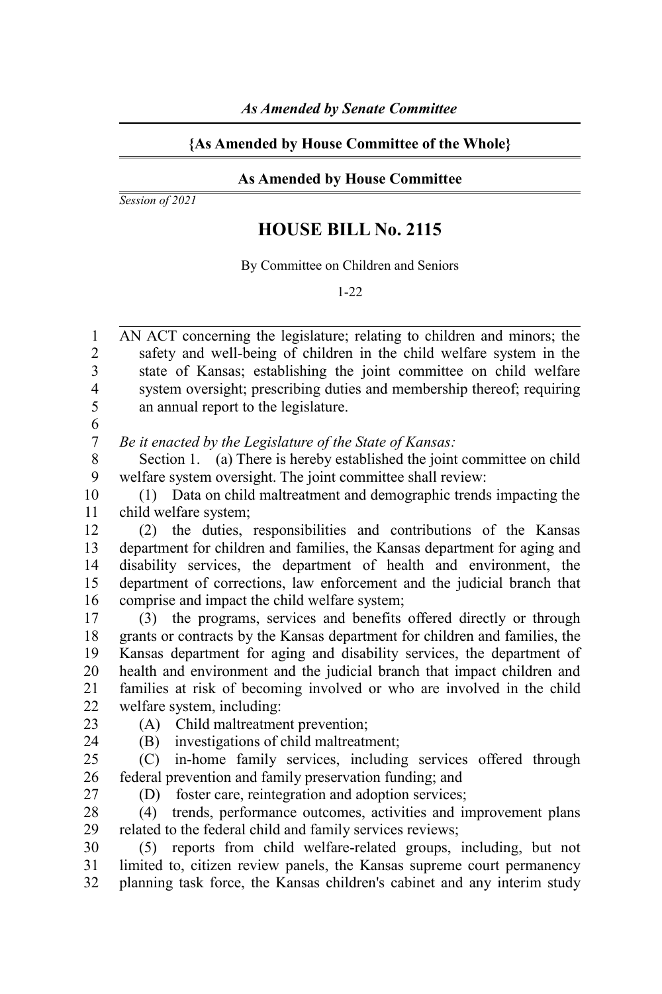## **{As Amended by House Committee of the Whole}**

## **As Amended by House Committee**

*Session of 2021*

## **HOUSE BILL No. 2115**

By Committee on Children and Seniors

1-22

AN ACT concerning the legislature; relating to children and minors; the safety and well-being of children in the child welfare system in the state of Kansas; establishing the joint committee on child welfare system oversight; prescribing duties and membership thereof; requiring an annual report to the legislature. 1 2 3 4 5

6 7

*Be it enacted by the Legislature of the State of Kansas:*

Section 1. (a) There is hereby established the joint committee on child welfare system oversight. The joint committee shall review: 8 9

(1) Data on child maltreatment and demographic trends impacting the child welfare system; 10 11

(2) the duties, responsibilities and contributions of the Kansas department for children and families, the Kansas department for aging and disability services, the department of health and environment, the department of corrections, law enforcement and the judicial branch that comprise and impact the child welfare system; 12 13 14 15 16

(3) the programs, services and benefits offered directly or through grants or contracts by the Kansas department for children and families, the Kansas department for aging and disability services, the department of health and environment and the judicial branch that impact children and families at risk of becoming involved or who are involved in the child welfare system, including: 17 18 19 20 21 22

23

(A) Child maltreatment prevention; (B) investigations of child maltreatment;

24

(C) in-home family services, including services offered through federal prevention and family preservation funding; and 25 26 27

(D) foster care, reintegration and adoption services;

(4) trends, performance outcomes, activities and improvement plans related to the federal child and family services reviews; 28 29

(5) reports from child welfare-related groups, including, but not limited to, citizen review panels, the Kansas supreme court permanency planning task force, the Kansas children's cabinet and any interim study 30 31 32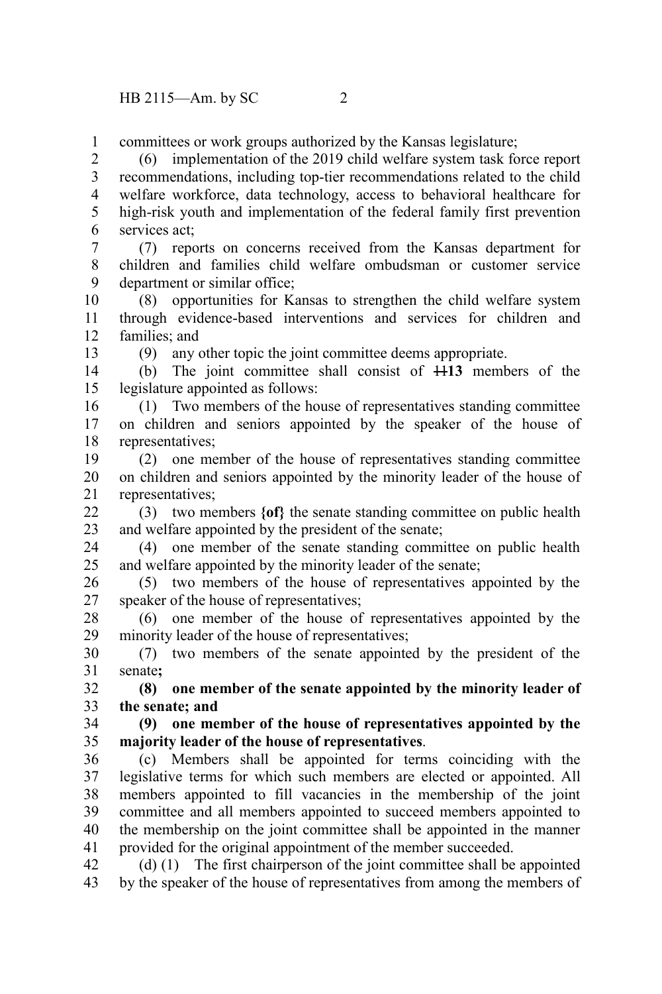committees or work groups authorized by the Kansas legislature; 1

(6) implementation of the 2019 child welfare system task force report recommendations, including top-tier recommendations related to the child welfare workforce, data technology, access to behavioral healthcare for high-risk youth and implementation of the federal family first prevention services act; 2 3 4 5 6

(7) reports on concerns received from the Kansas department for children and families child welfare ombudsman or customer service department or similar office; 7 8 9

(8) opportunities for Kansas to strengthen the child welfare system through evidence-based interventions and services for children and families; and 10 11 12

13

(9) any other topic the joint committee deems appropriate.

(b) The joint committee shall consist of 11**13** members of the legislature appointed as follows: 14 15

(1) Two members of the house of representatives standing committee on children and seniors appointed by the speaker of the house of representatives; 16 17 18

(2) one member of the house of representatives standing committee on children and seniors appointed by the minority leader of the house of representatives; 19 20 21

(3) two members **{of}** the senate standing committee on public health and welfare appointed by the president of the senate;  $22$ 23

(4) one member of the senate standing committee on public health and welfare appointed by the minority leader of the senate; 24 25

(5) two members of the house of representatives appointed by the speaker of the house of representatives; 26 27

(6) one member of the house of representatives appointed by the minority leader of the house of representatives; 28 29

(7) two members of the senate appointed by the president of the senate**;** 30 31

**(8) one member of the senate appointed by the minority leader of the senate; and** 32 33

**(9) one member of the house of representatives appointed by the majority leader of the house of representatives**. 34 35

(c) Members shall be appointed for terms coinciding with the legislative terms for which such members are elected or appointed. All members appointed to fill vacancies in the membership of the joint committee and all members appointed to succeed members appointed to the membership on the joint committee shall be appointed in the manner provided for the original appointment of the member succeeded. 36 37 38 39 40 41

(d) (1) The first chairperson of the joint committee shall be appointed by the speaker of the house of representatives from among the members of 42 43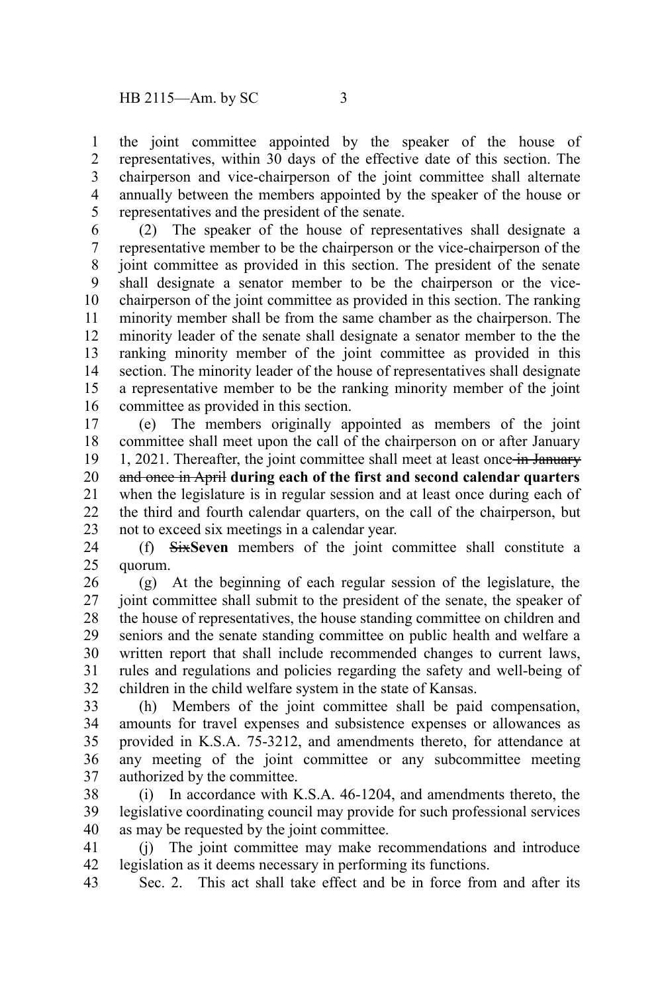the joint committee appointed by the speaker of the house of representatives, within 30 days of the effective date of this section. The chairperson and vice-chairperson of the joint committee shall alternate annually between the members appointed by the speaker of the house or representatives and the president of the senate. 1 2 3 4 5

(2) The speaker of the house of representatives shall designate a representative member to be the chairperson or the vice-chairperson of the joint committee as provided in this section. The president of the senate shall designate a senator member to be the chairperson or the vicechairperson of the joint committee as provided in this section. The ranking minority member shall be from the same chamber as the chairperson. The minority leader of the senate shall designate a senator member to the the ranking minority member of the joint committee as provided in this section. The minority leader of the house of representatives shall designate a representative member to be the ranking minority member of the joint committee as provided in this section. 6 7 8 9 10 11 12 13 14 15 16

(e) The members originally appointed as members of the joint committee shall meet upon the call of the chairperson on or after January 1, 2021. Thereafter, the joint committee shall meet at least once in January and once in April **during each of the first and second calendar quarters** when the legislature is in regular session and at least once during each of the third and fourth calendar quarters, on the call of the chairperson, but not to exceed six meetings in a calendar year. 17 18 19 20 21 22 23

(f) Six**Seven** members of the joint committee shall constitute a quorum. 24 25

(g) At the beginning of each regular session of the legislature, the joint committee shall submit to the president of the senate, the speaker of the house of representatives, the house standing committee on children and seniors and the senate standing committee on public health and welfare a written report that shall include recommended changes to current laws, rules and regulations and policies regarding the safety and well-being of children in the child welfare system in the state of Kansas. 26 27 28 29 30 31 32

(h) Members of the joint committee shall be paid compensation, amounts for travel expenses and subsistence expenses or allowances as provided in K.S.A. 75-3212, and amendments thereto, for attendance at any meeting of the joint committee or any subcommittee meeting authorized by the committee. 33 34 35 36 37

(i) In accordance with K.S.A. 46-1204, and amendments thereto, the legislative coordinating council may provide for such professional services as may be requested by the joint committee. 38 39 40

(j) The joint committee may make recommendations and introduce legislation as it deems necessary in performing its functions. 41 42

Sec. 2. This act shall take effect and be in force from and after its 43